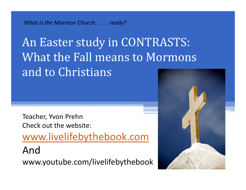*What is the Mormon Church. . . . . really?*

An Easter study in CONTRASTS: What the Fall means to Mormons and to Christians

Teacher, Yvon Prehn Check out the website:www.livelifebythebook.com Andwww.youtube.com/livelifebythebook

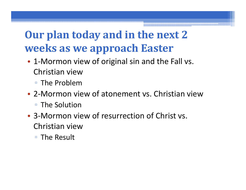#### **Our plan today and in the next 2 weeks as we approach Easter**

- 1-Mormon view of original sin and the Fall vs. Christian view
	- The Problem
- 2-Mormon view of atonement vs. Christian view■ The Solution
- 3-Mormon view of resurrection of Christ vs. Christian view
	- The Result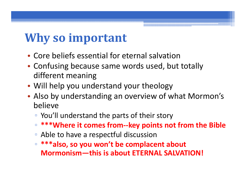# **Why so important**

- Core beliefs essential for eternal salvation
- Confusing because same words used, but totally different meaning
- Will help you understand your theology
- Also by understanding an overview of what Mormon's believe
	- You'll understand the parts of their story
	- $\Box$ **\*\*\*Where it comes from--key points not from the Bible**
	- Able to have a respectful discussion
	- $\Box$  **\*\*\*also, so you won't be complacent about Mormonism—this is about ETERNAL SALVATION!**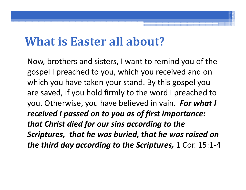#### **What is Easter all about?**

Now, brothers and sisters, I want to remind you of the gospel I preached to you, which you received and on which you have taken your stand. By this gospel you are saved, if you hold firmly to the word I preached to you. Otherwise, you have believed in vain. *For what I received I passed on to you as of first importance: that Christ died for our sins according to the Scriptures, that he was buried, that he was raised on the third day according to the Scriptures,* 1 Cor. 15:1-4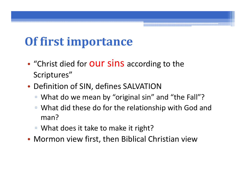# **Of first importance**

- •• "Christ died for **OUT SiNS** according to the Scriptures"
- Definition of SIN, defines SALVATION
	- What do we mean by "original sin" and "the Fall"?
	- What did these do for the relationship with God and man?
	- What does it take to make it right?
- Mormon view first, then Biblical Christian view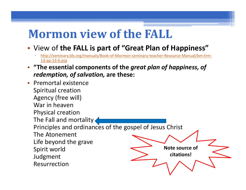# **Mormon view of the FALL**

- View of **the FALL is part of "Great Plan of Happiness"**
	- http://seminary.lds.org/manuals/Book-of-Mormon-seminary-teacher-Resource-Manual/bm-trm-13-ap-13-6.asp
- • **"The essential components of the** *great plan of happiness, of redemption, of salvation,* **are these:**
- Premortal existence Spiritual creation Agency (free will) War in heaven Physical creation The Fall and mortality Principles and ordinances of the gospel of Jesus Christ The Atonement Life beyond the grave Spirit world Judgment Resurrection**Note source of citations!**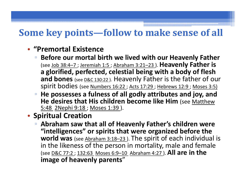#### **Some key points—follow to make sense of all**

#### • **"Premortal Existence**

- **Before our mortal birth we lived with our Heavenly Father**  (see Job 38:4–7 ; Jeremiah 1:5 ; Abraham 3:21–23 ). **Heavenly Father is a glorified, perfected, celestial being with a body of flesh and bones** (see <u>D&C 130:22 )</u>. Heavenly Father is the father of our spirit bodies (see Numbers 16:22 ; Acts 17:29 ; Hebrews 12:9 ; Moses 3:5)
- **He possesses a fulness of all godly attributes and joy, and He desires that His children become like Him** (see Matthew 5:48 2Nephi 9:18 ; Moses 1:39 ).
- **Spiritual Creation** 
	- **Abraham saw that all of Heavenly Father's children were "intelligences" or spirits that were organized before the**  world was (see Abraham 3:18-23). The spirit of each individual is in the likeness of the person in mortality, male and female (see D&C 77:2 ; 132:63 Moses 6:9–10 Abraham 4:27 ). **All are in the image of heavenly parents**"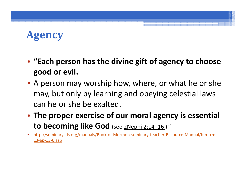#### **Agency**

- **"Each person has the divine gift of agency to choose good or evil.**
- A person may worship how, where, or what he or she may, but only by learning and obeying celestial laws can he or she be exalted.
- **The proper exercise of our moral agency is essential to becoming like God** (see 2Nephi 2:14–16 )."
- • http://seminary.lds.org/manuals/Book-of-Mormon-seminary-teacher-Resource-Manual/bm-trm-13-ap-13-6.asp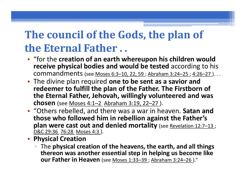#### **The council of the Gods, the plan of the Eternal Father . .**

- "for the **creation of an earth whereupon his children would receive physical bodies and would be tested** according to his commandments (see Moses 6:3–10, 22, 59 ; Abraham 3:24–25 ; 4:26–27 ). . .
- The divine plan required **one to be sent as a savior and redeemer to fulfill the plan of the Father. The Firstborn of the Eternal Father, Jehovah, willingly volunteered and was chosen** (see Moses 4:1–2 Abraham 3:19, 22–27 ).
- "Others rebelled, and there was a war in heaven. **Satan and those who followed him in rebellion against the Father's plan were cast out and denied mortality** (see Revelation 12:7–13 ; D&C 29:36 76:28 Moses 4:3 ).
- **Physical Creation** 
	- The **physical creation of the heavens, the earth, and all things thereon was another essential step in helping us become like our Father in Heaven** (see Moses 1:33-39 ; Abraham 3:24-26)."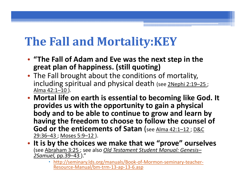# **The Fall and Mortality:KEY**

- **"The Fall of Adam and Eve was the next step in the great plan of happiness. (still quoting)**
- The Fall brought about the conditions of mortality, including spiritual and physical death (see 2Nephi 2:19-25; Alma 42:1–10 ).
- **Mortal life on earth is essential to becoming like God. It provides us with the opportunity to gain a physical body and to be able to continue to grow and learn by having the freedom to choose to follow the counsel of God or the enticements of Satan** (see Alma 42:1-12; D&C 29:36–43 ; Moses 5:9–12 ).
- **It is by the choices we make that we "prove" ourselves**  (see Abraham 3:25 ; see also *Old Testament Student Manual: Genesis– 2Samuel,* pp.39–43 )."
	- http://seminary.lds.org/manuals/Book-of-Mormon-seminary-teacher-Resource-Manual/bm-trm-13-ap-13-6.asp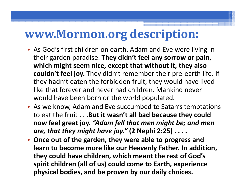#### **www.Mormon.org description:**

- As God's first children on earth, Adam and Eve were living in their garden paradise. **They didn't feel any sorrow or pain, which might seem nice, except that without it, they also couldn't feel joy.** They didn't remember their pre-earth life. If they hadn't eaten the forbidden fruit, they would have lived like that forever and never had children. Mankind never would have been born or the world populated.
- As we know, Adam and Eve succumbed to Satan's temptations to eat the fruit . . .**But it wasn't all bad because they could now feel great joy.** *"Adam fell that men might be; and men are, that they might have joy."* **(2 Nephi 2:25) . . . .**
- **Once out of the garden, they were able to progress and learn to become more like our Heavenly Father. In addition, they could have children, which meant the rest of God's spirit children (all of us) could come to Earth, experience physical bodies, and be proven by our daily choices.**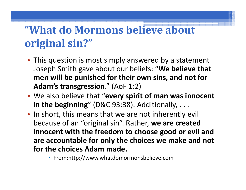#### **"What do Mormons believe about original sin?"**

- This question is most simply answered by a statement Joseph Smith gave about our beliefs: "**We believe that men will be punished for their own sins, and not for Adam's transgression**." (AoF 1:2)
- We also believe that "**every spirit of man was innocent in the beginning**" (D&C 93:38). Additionally, . . .
- In short, this means that we are not inherently evil because of an "original sin". Rather, **we are created innocent with the freedom to choose good or evil and are accountable for only the choices we make and not for the choices Adam made.**
	- From:http://www.whatdomormonsbelieve.com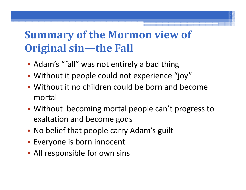#### **Summary of the Mormon view of Original sin—the Fall**

- Adam's "fall" was not entirely a bad thing
- Without it people could not experience "joy"
- Without it no children could be born and become mortal
- Without becoming mortal people can't progress to exaltation and become gods
- No belief that people carry Adam's guilt
- Everyone is born innocent
- All responsible for own sins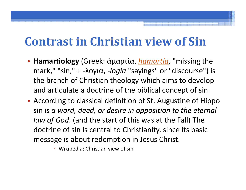# **Contrast in Christian view of Sin**

- **Hamartiology** (Greek: ἁμαρτία, *hamartia*, "missing the mark," "sin," + -λογια, *-logia* "sayings" or "discourse") is the branch of Christian theology which aims to develop and articulate a doctrine of the biblical concept of sin.
- According to classical definition of St. Augustine of Hippo sin is *a word, deed, or desire in opposition to the eternal law of God*. (and the start of this was at the Fall) The doctrine of sin is central to Christianity, since its basic message is about redemption in Jesus Christ.

▫ Wikipedia: Christian view of sin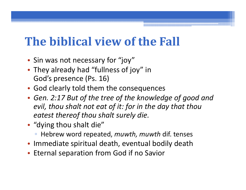# **The biblical view of the Fall**

- Sin was not necessary for "joy"
- They already had "fullness of joy" in God's presence (Ps. 16)
- God clearly told them the consequences
- *Gen. 2:17 But of the tree of the knowledge of good and evil, thou shalt not eat of it: for in the day that thou eatest thereof thou shalt surely die.*
- "dying thou shalt die"
	- Hebrew word repeated, *muwth, muwth* dif. tenses
- Immediate spiritual death, eventual bodily death
- Eternal separation from God if no Savior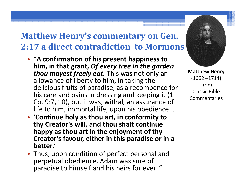#### **Matthew Henry's commentary on Gen. 2:17 a direct contradiction to Mormons**

- "**A confirmation of his present happiness to him, in that grant,** *Of every tree in the garden thou mayest freely eat.* This was not only an allowance of liberty to him, in taking the delicious fruits of paradise, as a recompence for his care and pains in dressing and keeping it (1 Co. 9:7, 10), but it was, withal, an assurance of life to him, immortal life, upon his obedience. . .
- '**Continue holy as thou art, in conformity to thy Creator's will, and thou shalt continue happy as thou art in the enjoyment of thy Creator's favour, either in this paradise or in a better**.'
- Thus, upon condition of perfect personal and perpetual obedience, Adam was sure of paradise to himself and his heirs for ever. "



**Matthew Henry** (1662 –1714) FromClassic Bible Commentaries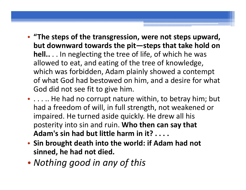- **"The steps of the transgression, were not steps upward, but downward towards the pit—steps that take hold on hell..** . . In neglecting the tree of life, of which he was allowed to eat, and eating of the tree of knowledge, which was forbidden, Adam plainly showed a contempt of what God had bestowed on him, and a desire for what God did not see fit to give him.
- . . . .. He had no corrupt nature within, to betray him; but had a freedom of will, in full strength, not weakened or impaired. He turned aside quickly. He drew all his posterity into sin and ruin. **Who then can say that Adam's sin had but little harm in it? . . . .**
- **Sin brought death into the world: if Adam had not sinned, he had not died.**
- •*Nothing good in any of this*